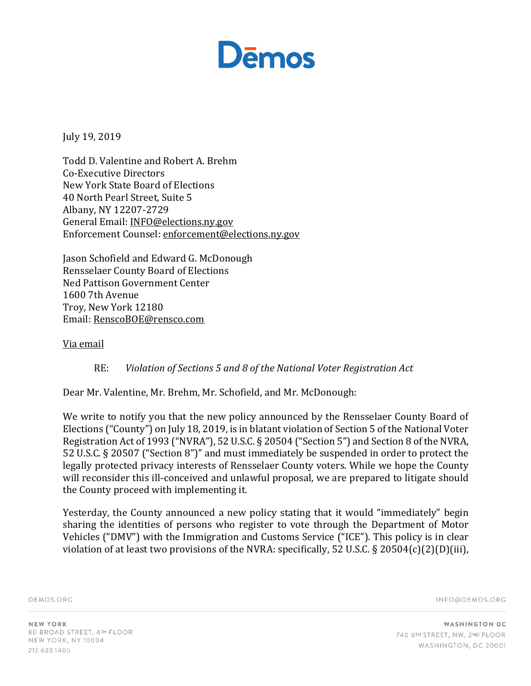

July 19, 2019

Todd D. Valentine and Robert A. Brehm Co-Executive Directors New York State Board of Elections 40 North Pearl Street, Suite 5 Albany, NY 12207-2729 General Email: INFO@elections.ny.gov Enforcement Counsel: enforcement@elections.ny.gov

Jason Schofield and Edward G. McDonough Rensselaer County Board of Elections Ned Pattison Government Center 1600 7th Avenue Troy, New York 12180 Email: RenscoBOE@rensco.com

## Via email

## RE: *Violation of Sections 5 and 8 of the National Voter Registration Act*

Dear Mr. Valentine, Mr. Brehm, Mr. Schofield, and Mr. McDonough:

We write to notify you that the new policy announced by the Rensselaer County Board of Elections ("County") on July 18, 2019, is in blatant violation of Section 5 of the National Voter Registration Act of 1993 ("NVRA"), 52 U.S.C. § 20504 ("Section 5") and Section 8 of the NVRA, 52 U.S.C. § 20507 ("Section 8")" and must immediately be suspended in order to protect the legally protected privacy interests of Rensselaer County voters. While we hope the County will reconsider this ill-conceived and unlawful proposal, we are prepared to litigate should the County proceed with implementing it.

Yesterday, the County announced a new policy stating that it would "immediately" begin sharing the identities of persons who register to vote through the Department of Motor Vehicles ("DMV") with the Immigration and Customs Service ("ICE"). This policy is in clear violation of at least two provisions of the NVRA: specifically, 52 U.S.C. § 20504(c)(2)(D)(iii),

DEMOS.ORG

INFO@DEMOS.ORG

NEW YORK 80 BROAD STREET, 4TH FLOOR NEW YORK, NY 10004 212.633.1405

**WASHINGTON DC** 740 6TH STREET, NW, 2ND FLOOR WASHINGTON, DC 20001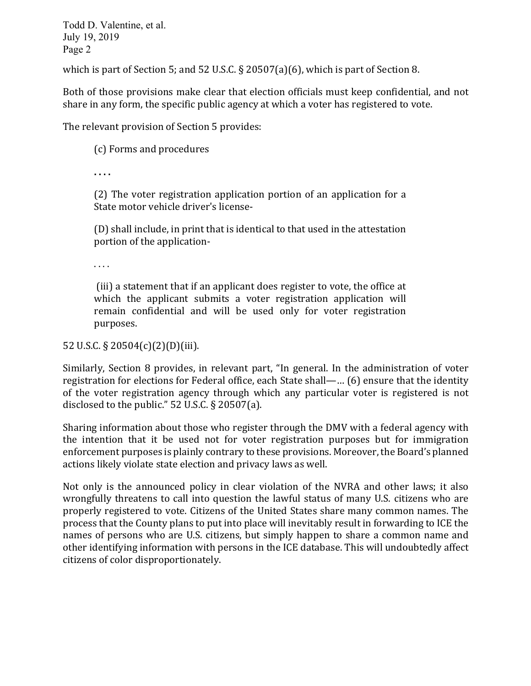Todd D. Valentine, et al. July 19, 2019 Page 2

which is part of Section 5; and 52 U.S.C.  $\S 20507(a)(6)$ , which is part of Section 8.

Both of those provisions make clear that election officials must keep confidential, and not share in any form, the specific public agency at which a voter has registered to vote.

The relevant provision of Section 5 provides:

(c) Forms and procedures

**. . . .**

 $(2)$  The voter registration application portion of an application for a State motor vehicle driver's license-

(D) shall include, in print that is identical to that used in the attestation portion of the application-

. . . .

(iii) a statement that if an applicant does register to vote, the office at which the applicant submits a voter registration application will remain confidential and will be used only for voter registration purposes. 

52 U.S.C. § 20504(c)(2)(D)(iii).

Similarly, Section 8 provides, in relevant part, "In general. In the administration of voter registration for elections for Federal office, each State shall—... (6) ensure that the identity of the voter registration agency through which any particular voter is registered is not disclosed to the public."  $52$  U.S.C. § 20507(a).

Sharing information about those who register through the DMV with a federal agency with the intention that it be used not for voter registration purposes but for immigration enforcement purposes is plainly contrary to these provisions. Moreover, the Board's planned actions likely violate state election and privacy laws as well.

Not only is the announced policy in clear violation of the NVRA and other laws; it also wrongfully threatens to call into question the lawful status of many U.S. citizens who are properly registered to vote. Citizens of the United States share many common names. The process that the County plans to put into place will inevitably result in forwarding to ICE the names of persons who are U.S. citizens, but simply happen to share a common name and other identifying information with persons in the ICE database. This will undoubtedly affect citizens of color disproportionately.